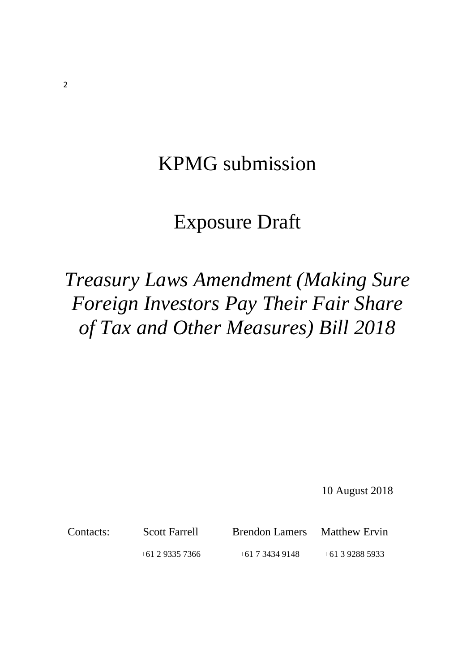# KPMG submission

# Exposure Draft

# *Treasury Laws Amendment (Making Sure Foreign Investors Pay Their Fair Share of Tax and Other Measures) Bill 2018*

10 August 2018

Contacts: Scott Farrell Brendon Lamers Matthew Ervin +61 2 9335 7366 +61 7 3434 9148 +61 3 9288 5933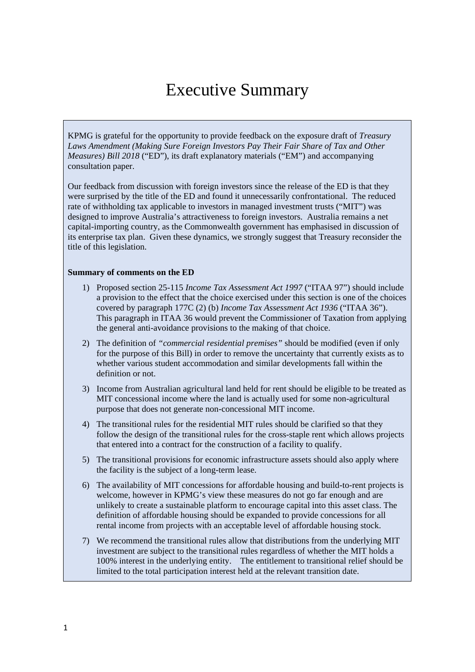# Executive Summary

KPMG is grateful for the opportunity to provide feedback on the exposure draft of *Treasury Laws Amendment (Making Sure Foreign Investors Pay Their Fair Share of Tax and Other Measures) Bill 2018* ("ED"), its draft explanatory materials ("EM") and accompanying consultation paper.

Our feedback from discussion with foreign investors since the release of the ED is that they were surprised by the title of the ED and found it unnecessarily confrontational. The reduced rate of withholding tax applicable to investors in managed investment trusts ("MIT") was designed to improve Australia's attractiveness to foreign investors. Australia remains a net capital-importing country, as the Commonwealth government has emphasised in discussion of its enterprise tax plan. Given these dynamics, we strongly suggest that Treasury reconsider the title of this legislation.

#### **Summary of comments on the ED**

- 1) Proposed section 25-115 *Income Tax Assessment Act 1997* ("ITAA 97") should include a provision to the effect that the choice exercised under this section is one of the choices covered by paragraph 177C (2) (b) *Income Tax Assessment Act 1936* ("ITAA 36"). This paragraph in ITAA 36 would prevent the Commissioner of Taxation from applying the general anti-avoidance provisions to the making of that choice.
- 2) The definition of *"commercial residential premises"* should be modified (even if only for the purpose of this Bill) in order to remove the uncertainty that currently exists as to whether various student accommodation and similar developments fall within the definition or not.
- 3) Income from Australian agricultural land held for rent should be eligible to be treated as MIT concessional income where the land is actually used for some non-agricultural purpose that does not generate non-concessional MIT income.
- 4) The transitional rules for the residential MIT rules should be clarified so that they follow the design of the transitional rules for the cross-staple rent which allows projects that entered into a contract for the construction of a facility to qualify.
- 5) The transitional provisions for economic infrastructure assets should also apply where the facility is the subject of a long-term lease.
- 6) The availability of MIT concessions for affordable housing and build-to-rent projects is welcome, however in KPMG's view these measures do not go far enough and are unlikely to create a sustainable platform to encourage capital into this asset class. The definition of affordable housing should be expanded to provide concessions for all rental income from projects with an acceptable level of affordable housing stock.
- 7) We recommend the transitional rules allow that distributions from the underlying MIT investment are subject to the transitional rules regardless of whether the MIT holds a 100% interest in the underlying entity. The entitlement to transitional relief should be limited to the total participation interest held at the relevant transition date.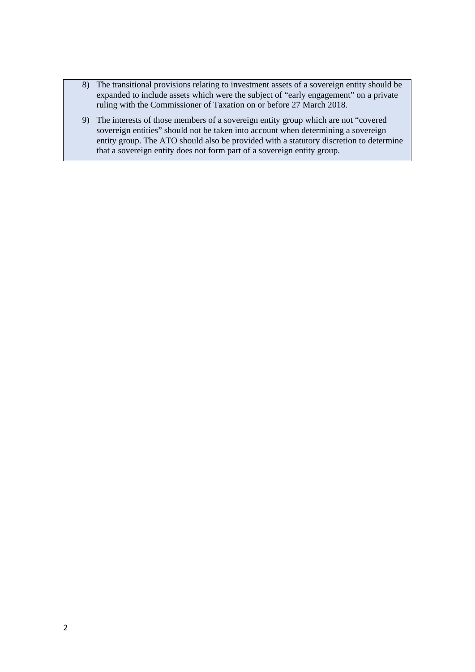- 8) The transitional provisions relating to investment assets of a sovereign entity should be expanded to include assets which were the subject of "early engagement" on a private ruling with the Commissioner of Taxation on or before 27 March 2018.
- 9) The interests of those members of a sovereign entity group which are not "covered sovereign entities" should not be taken into account when determining a sovereign entity group. The ATO should also be provided with a statutory discretion to determine that a sovereign entity does not form part of a sovereign entity group.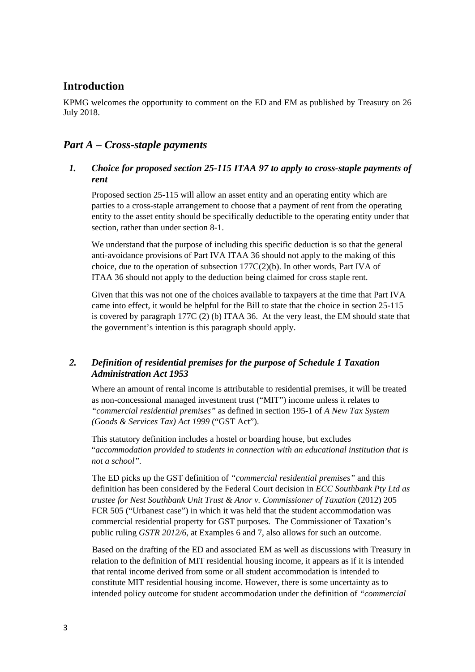# **Introduction**

KPMG welcomes the opportunity to comment on the ED and EM as published by Treasury on 26 July 2018.

# *Part A – Cross-staple payments*

### *1. Choice for proposed section 25-115 ITAA 97 to apply to cross-staple payments of rent*

Proposed section 25-115 will allow an asset entity and an operating entity which are parties to a cross-staple arrangement to choose that a payment of rent from the operating entity to the asset entity should be specifically deductible to the operating entity under that section, rather than under section 8-1.

We understand that the purpose of including this specific deduction is so that the general anti-avoidance provisions of Part IVA ITAA 36 should not apply to the making of this choice, due to the operation of subsection  $177C(2)(b)$ . In other words, Part IVA of ITAA 36 should not apply to the deduction being claimed for cross staple rent.

Given that this was not one of the choices available to taxpayers at the time that Part IVA came into effect, it would be helpful for the Bill to state that the choice in section 25-115 is covered by paragraph 177C (2) (b) ITAA 36. At the very least, the EM should state that the government's intention is this paragraph should apply.

## *2. Definition of residential premises for the purpose of Schedule 1 Taxation Administration Act 1953*

Where an amount of rental income is attributable to residential premises, it will be treated as non-concessional managed investment trust ("MIT") income unless it relates to *"commercial residential premises"* as defined in section 195-1 of *A New Tax System (Goods & Services Tax) Act 1999* ("GST Act").

This statutory definition includes a hostel or boarding house, but excludes "*accommodation provided to students in connection with an educational institution that is not a school".*

The ED picks up the GST definition of *"commercial residential premises"* and this definition has been considered by the Federal Court decision in *ECC Southbank Pty Ltd as trustee for Nest Southbank Unit Trust & Anor v. Commissioner of Taxation* (2012) 205 FCR 505 ("Urbanest case") in which it was held that the student accommodation was commercial residential property for GST purposes. The Commissioner of Taxation's public ruling *GSTR 2012/6*, at Examples 6 and 7, also allows for such an outcome.

Based on the drafting of the ED and associated EM as well as discussions with Treasury in relation to the definition of MIT residential housing income, it appears as if it is intended that rental income derived from some or all student accommodation is intended to constitute MIT residential housing income. However, there is some uncertainty as to intended policy outcome for student accommodation under the definition of *"commercial*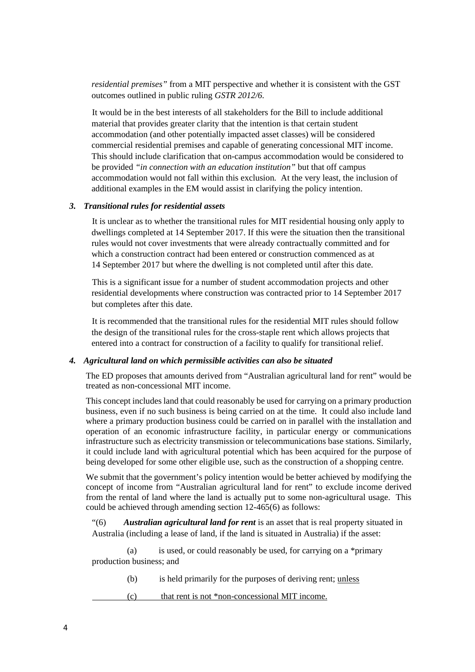*residential premises"* from a MIT perspective and whether it is consistent with the GST outcomes outlined in public ruling *GSTR 2012/6.*

It would be in the best interests of all stakeholders for the Bill to include additional material that provides greater clarity that the intention is that certain student accommodation (and other potentially impacted asset classes) will be considered commercial residential premises and capable of generating concessional MIT income. This should include clarification that on-campus accommodation would be considered to be provided *"in connection with an education institution"* but that off campus accommodation would not fall within this exclusion*.* At the very least, the inclusion of additional examples in the EM would assist in clarifying the policy intention.

#### *3. Transitional rules for residential assets*

It is unclear as to whether the transitional rules for MIT residential housing only apply to dwellings completed at 14 September 2017. If this were the situation then the transitional rules would not cover investments that were already contractually committed and for which a construction contract had been entered or construction commenced as at 14 September 2017 but where the dwelling is not completed until after this date.

This is a significant issue for a number of student accommodation projects and other residential developments where construction was contracted prior to 14 September 2017 but completes after this date.

It is recommended that the transitional rules for the residential MIT rules should follow the design of the transitional rules for the cross-staple rent which allows projects that entered into a contract for construction of a facility to qualify for transitional relief.

#### *4. Agricultural land on which permissible activities can also be situated*

The ED proposes that amounts derived from "Australian agricultural land for rent" would be treated as non-concessional MIT income.

This concept includes land that could reasonably be used for carrying on a primary production business, even if no such business is being carried on at the time. It could also include land where a primary production business could be carried on in parallel with the installation and operation of an economic infrastructure facility, in particular energy or communications infrastructure such as electricity transmission or telecommunications base stations. Similarly, it could include land with agricultural potential which has been acquired for the purpose of being developed for some other eligible use, such as the construction of a shopping centre.

We submit that the government's policy intention would be better achieved by modifying the concept of income from "Australian agricultural land for rent" to exclude income derived from the rental of land where the land is actually put to some non-agricultural usage. This could be achieved through amending section 12-465(6) as follows:

"(6) *Australian agricultural land for rent* is an asset that is real property situated in Australia (including a lease of land, if the land is situated in Australia) if the asset:

 (a) is used, or could reasonably be used, for carrying on a \*primary production business; and

- (b) is held primarily for the purposes of deriving rent; unless
- (c) that rent is not \*non-concessional MIT income.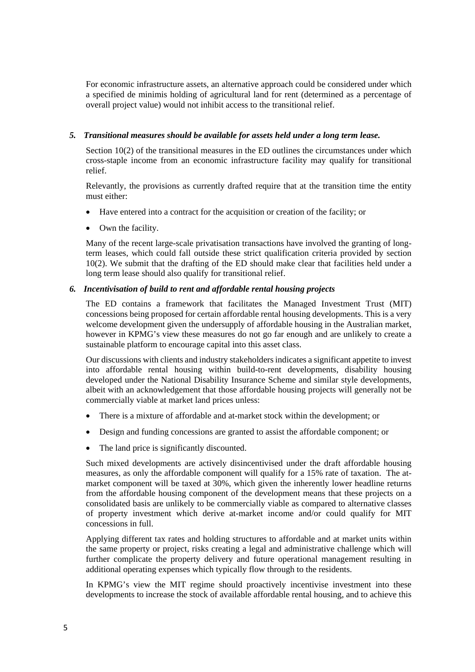For economic infrastructure assets, an alternative approach could be considered under which a specified de minimis holding of agricultural land for rent (determined as a percentage of overall project value) would not inhibit access to the transitional relief.

#### *5. Transitional measures should be available for assets held under a long term lease.*

Section 10(2) of the transitional measures in the ED outlines the circumstances under which cross-staple income from an economic infrastructure facility may qualify for transitional relief.

Relevantly, the provisions as currently drafted require that at the transition time the entity must either:

- Have entered into a contract for the acquisition or creation of the facility; or
- Own the facility.

Many of the recent large-scale privatisation transactions have involved the granting of longterm leases, which could fall outside these strict qualification criteria provided by section 10(2). We submit that the drafting of the ED should make clear that facilities held under a long term lease should also qualify for transitional relief.

#### *6. Incentivisation of build to rent and affordable rental housing projects*

The ED contains a framework that facilitates the Managed Investment Trust (MIT) concessions being proposed for certain affordable rental housing developments. This is a very welcome development given the undersupply of affordable housing in the Australian market, however in KPMG's view these measures do not go far enough and are unlikely to create a sustainable platform to encourage capital into this asset class.

Our discussions with clients and industry stakeholders indicates a significant appetite to invest into affordable rental housing within build-to-rent developments, disability housing developed under the National Disability Insurance Scheme and similar style developments, albeit with an acknowledgement that those affordable housing projects will generally not be commercially viable at market land prices unless:

- There is a mixture of affordable and at-market stock within the development; or
- Design and funding concessions are granted to assist the affordable component; or
- The land price is significantly discounted.

Such mixed developments are actively disincentivised under the draft affordable housing measures, as only the affordable component will qualify for a 15% rate of taxation. The atmarket component will be taxed at 30%, which given the inherently lower headline returns from the affordable housing component of the development means that these projects on a consolidated basis are unlikely to be commercially viable as compared to alternative classes of property investment which derive at-market income and/or could qualify for MIT concessions in full.

Applying different tax rates and holding structures to affordable and at market units within the same property or project, risks creating a legal and administrative challenge which will further complicate the property delivery and future operational management resulting in additional operating expenses which typically flow through to the residents.

In KPMG's view the MIT regime should proactively incentivise investment into these developments to increase the stock of available affordable rental housing, and to achieve this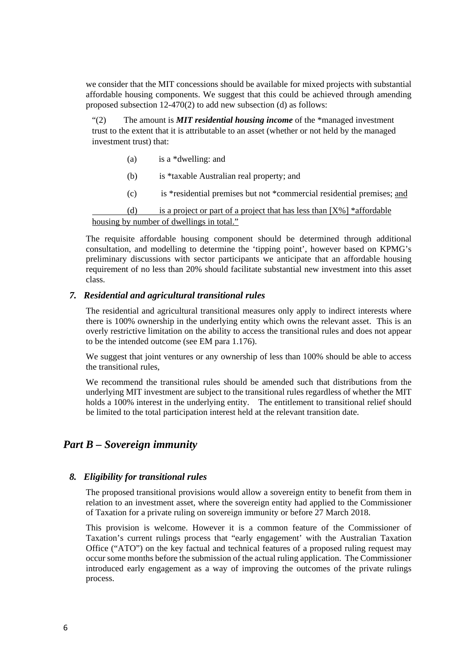we consider that the MIT concessions should be available for mixed projects with substantial affordable housing components. We suggest that this could be achieved through amending proposed subsection 12-470(2) to add new subsection (d) as follows:

"(2) The amount is *MIT residential housing income* of the \*managed investment trust to the extent that it is attributable to an asset (whether or not held by the managed investment trust) that:

- (a) is a \*dwelling: and
- (b) is \*taxable Australian real property; and
- (c) is \*residential premises but not \*commercial residential premises; and

(d) is a project or part of a project that has less than  $[X\%]$  \*affordable housing by number of dwellings in total."

The requisite affordable housing component should be determined through additional consultation, and modelling to determine the 'tipping point', however based on KPMG's preliminary discussions with sector participants we anticipate that an affordable housing requirement of no less than 20% should facilitate substantial new investment into this asset class.

#### *7. Residential and agricultural transitional rules*

The residential and agricultural transitional measures only apply to indirect interests where there is 100% ownership in the underlying entity which owns the relevant asset. This is an overly restrictive limitation on the ability to access the transitional rules and does not appear to be the intended outcome (see EM para 1.176).

We suggest that joint ventures or any ownership of less than 100% should be able to access the transitional rules,

We recommend the transitional rules should be amended such that distributions from the underlying MIT investment are subject to the transitional rules regardless of whether the MIT holds a 100% interest in the underlying entity. The entitlement to transitional relief should be limited to the total participation interest held at the relevant transition date.

## *Part B – Sovereign immunity*

#### *8. Eligibility for transitional rules*

The proposed transitional provisions would allow a sovereign entity to benefit from them in relation to an investment asset, where the sovereign entity had applied to the Commissioner of Taxation for a private ruling on sovereign immunity or before 27 March 2018.

This provision is welcome. However it is a common feature of the Commissioner of Taxation's current rulings process that "early engagement' with the Australian Taxation Office ("ATO") on the key factual and technical features of a proposed ruling request may occur some months before the submission of the actual ruling application. The Commissioner introduced early engagement as a way of improving the outcomes of the private rulings process.